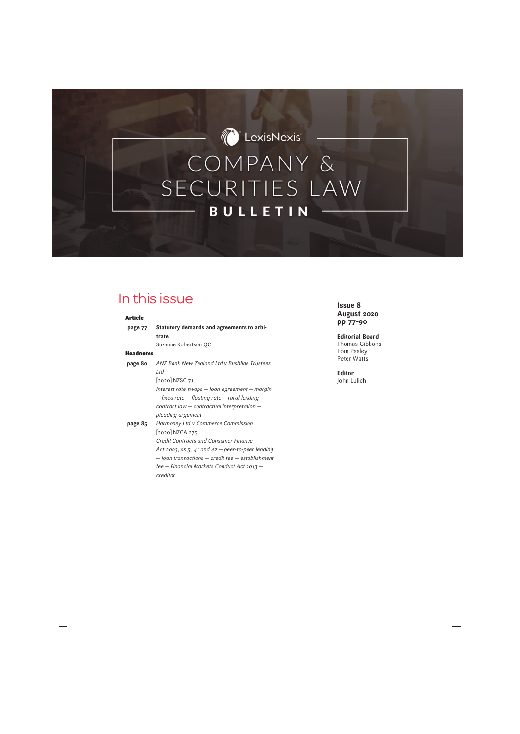*C* LexisNexis

# COMPANY & SECURITIES LAW **BULLETIN**

# In this issue

#### Article

| page 77          | Statutory demands and agreements to arbi-              |
|------------------|--------------------------------------------------------|
|                  | trate                                                  |
|                  | Suzanne Robertson QC                                   |
| <b>Headnotes</b> |                                                        |
| page 80          | ANZ Bank New Zealand Ltd v Bushline Trustees           |
|                  | Ltd                                                    |
|                  | [2020] NZSC 71                                         |
|                  | Interest rate swaps — loan agreement — margin          |
|                  | $-$ fixed rate $-$ floating rate $-$ rural lending $-$ |
|                  | contract law $-$ contractual interpretation $-$        |
|                  | pleoding argument                                      |
| page 85          | Harmoney Ltd v Commerce Commission                     |
|                  | [2020] NZCA 275                                        |
|                  | <b>Credit Contracts and Consumer Finance</b>           |
|                  | Act 2003, ss $5$ , 41 and 42 – peer-to-peer lending    |
|                  | $-$ loan transactions $-$ credit fee $-$ establishment |
|                  | fee — Financial Markets Conduct Act 2013 —             |
|                  | creditor                                               |

# **Issue 8 August 2020 pp 77–90**

#### **Editorial Board** Thomas Gibbons Tom Pasley Peter Watts

# **Editor**

John Lulich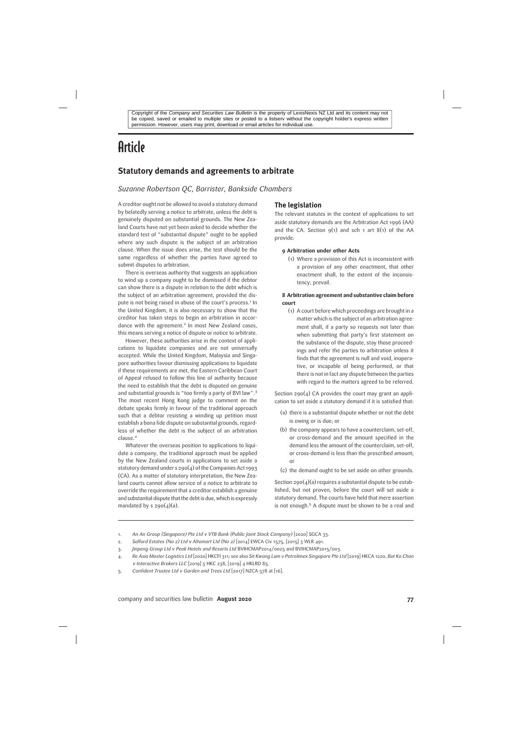# **Article**

# **Statutory demands and agreements to arbitrate**

#### *Suzanne Robertson QC, Barrister, Bankside Chambers*

A creditor ought not be allowed to avoid a statutory demand by belatedly serving a notice to arbitrate, unless the debt is genuinely disputed on substantial grounds. The New Zealand Courts have not yet been asked to decide whether the standard test of "substantial dispute" ought to be applied where any such dispute is the subject of an arbitration clause. When the issue does arise, the test should be the same regardless of whether the parties have agreed to submit disputes to arbitration.

There is overseas authority that suggests an application to wind up a company ought to be dismissed if the debtor can show there is a dispute in relation to the debt which is the subject of an arbitration agreement, provided the dispute is not being raised in abuse of the court's process.<sup>1</sup> In the United Kingdom, it is also necessary to show that the creditor has taken steps to begin an arbitration in accordance with the agreement.<sup>2</sup> In most New Zealand cases, this means serving a notice of dispute or notice to arbitrate.

However, these authorities arise in the context of applications to liquidate companies and are not universally accepted. While the United Kingdom, Malaysia and Singapore authorities favour dismissing applications to liquidate if these requirements are met, the Eastern Caribbean Court of Appeal refused to follow this line of authority because the need to establish that the debt is disputed on genuine and substantial grounds is "too firmly a party of BVI law".<sup>3</sup> The most recent Hong Kong judge to comment on the debate speaks firmly in favour of the traditional approach such that a debtor resisting a winding up petition must establish a bona fide dispute on substantial grounds, regardless of whether the debt is the subject of an arbitration clause.<sup>4</sup>

Whatever the overseas position to applications to liquidate a company, the traditional approach must be applied by the New Zealand courts in applications to set aside a statutory demand under s 290(4) of the Companies Act 1993 (CA). As a matter of statutory interpretation, the New Zealand courts cannot allow service of a notice to arbitrate to override the requirement that a creditor establish a genuine and substantial dispute that the debt is due, which is expressly mandated by s  $290(4)(a)$ .

#### **The legislation**

The relevant statutes in the context of applications to set aside statutory demands are the Arbitration Act 1996 (AA) and the CA. Section  $9(1)$  and sch 1 art  $8(1)$  of the AA provide:

#### **9 Arbitration under other Acts**

(1) Where a provision of this Act is inconsistent with a provision of any other enactment, that other enactment shall, to the extent of the inconsistency, prevail.

#### **8 Arbitration agreement and substantive claim before court**

(1) A court before which proceedings are brought in a matter which is the subject of an arbitration agreement shall, if a party so requests not later than when submitting that party's first statement on the substance of the dispute, stay those proceedings and refer the parties to arbitration unless it finds that the agreement is null and void, inoperative, or incapable of being performed, or that there is not in fact any dispute between the parties with regard to the matters agreed to be referred.

Section  $290(4)$  CA provides the court may grant an application to set aside a statutory demand if it is satisfied that:

- (a) there is a substantial dispute whether or not the debt is owing or is due; or
- (b) the company appears to have a counterclaim, set-off, or cross-demand and the amount specified in the demand less the amount of the counterclaim, set-off, or cross-demand is less than the prescribed amount; or
- (c) the demand ought to be set aside on other grounds.

Section 290( $4$ )(a) requires a substantial dispute to be established, but not proven, before the court will set aside a statutory demand. The courts have held that mere assertion is not enough.<sup>5</sup> A dispute must be shown to be a real and

<sup>1.</sup> *An An Group (Singapore) Pte Ltd v VTB Bank (Public Joint Stock Company)* [2020] SGCA 33.

<sup>2.</sup> *Salford Estates (No 2) Ltd v Altomart Ltd (No 2)* [2014] EWCA Civ 1575, [2015] 3 WLR 491.

<sup>3.</sup> *Jinpeng Group Ltd v Peak Hotels and Resorts Ltd* BVIHCMAP2014/0025 and BVIHCMAP2015/003.

<sup>4.</sup> *Re Asia Master Logistics Ltd* [2020] HKCFI 311; see also *Sit Kwong Lam v Petrolimex Singapore Pte Ltd* [2019] HKCA 1220, *But Ka Chon v Interactive Brokers LLC* [2019] 5 HKC 238, [2019] 4 HKLRD 85.

<sup>5.</sup> *Confident Trustee Ltd v Garden and Trees Ltd* [2017] NZCA 578 at [16].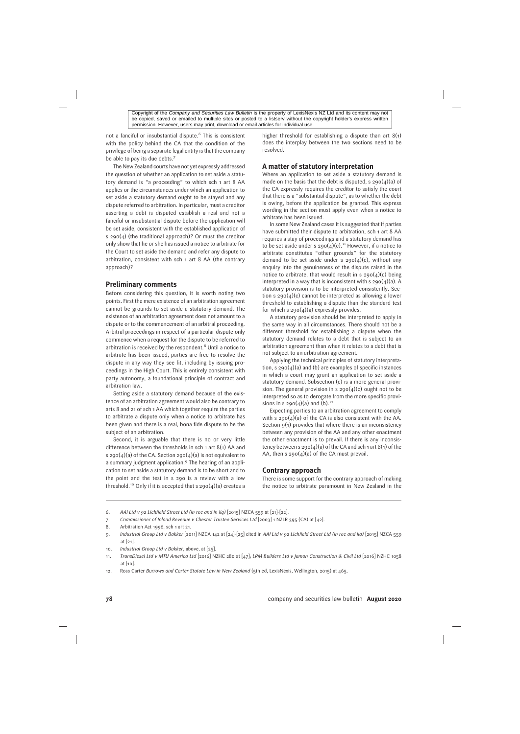not a fanciful or insubstantial dispute.<sup>6</sup> This is consistent with the policy behind the CA that the condition of the privilege of being a separate legal entity is that the company be able to pay its due debts.<sup>7</sup>

The New Zealand courts have not yet expressly addressed the question of whether an application to set aside a statutory demand is "a proceeding" to which sch 1 art 8 AA applies or the circumstances under which an application to set aside a statutory demand ought to be stayed and any dispute referred to arbitration. In particular, must a creditor asserting a debt is disputed establish a real and not a fanciful or insubstantial dispute before the application will be set aside, consistent with the established application of s 290(4) (the traditional approach)? Or must the creditor only show that he or she has issued a notice to arbitrate for the Court to set aside the demand and refer any dispute to arbitration, consistent with sch 1 art 8 AA (the contrary approach)?

### **Preliminary comments**

Before considering this question, it is worth noting two points. First the mere existence of an arbitration agreement cannot be grounds to set aside a statutory demand. The existence of an arbitration agreement does not amount to a dispute or to the commencement of an arbitral proceeding. Arbitral proceedings in respect of a particular dispute only commence when a request for the dispute to be referred to arbitration is received by the respondent.<sup>8</sup> Until a notice to arbitrate has been issued, parties are free to resolve the dispute in any way they see fit, including by issuing proceedings in the High Court. This is entirely consistent with party autonomy, a foundational principle of contract and arbitration law.

Setting aside a statutory demand because of the existence of an arbitration agreement would also be contrary to arts 8 and 21 of sch 1 AA which together require the parties to arbitrate a dispute only when a notice to arbitrate has been given and there is a real, bona fide dispute to be the subject of an arbitration.

Second, it is arguable that there is no or very little difference between the thresholds in sch 1 art 8(1) AA and s 290(4)(a) of the CA. Section 290(4)(a) is not equivalent to a summary judgment application.<sup>9</sup> The hearing of an application to set aside a statutory demand is to be short and to the point and the test in s 290 is a review with a low threshold.<sup>10</sup> Only if it is accepted that s  $290(4)(a)$  creates a higher threshold for establishing a dispute than art 8(1) does the interplay between the two sections need to be resolved.

## **A matter of statutory interpretation**

Where an application to set aside a statutory demand is made on the basis that the debt is disputed, s  $290(4)(a)$  of the CA expressly requires the creditor to satisfy the court that there is a "substantial dispute", as to whether the debt is owing, before the application be granted. This express wording in the section must apply even when a notice to arbitrate has been issued.

In some New Zealand cases it is suggested that if parties have submitted their dispute to arbitration, sch 1 art 8 AA requires a stay of proceedings and a statutory demand has to be set aside under s  $290(4)(c)$ .<sup>11</sup> However, if a notice to arbitrate constitutes "other grounds" for the statutory demand to be set aside under s  $290(4)(c)$ , without any enquiry into the genuineness of the dispute raised in the notice to arbitrate, that would result in s  $290(4)(c)$  being interpreted in a way that is inconsistent with s  $290(4)(a)$ . A statutory provision is to be interpreted consistently. Section s  $290(4)(c)$  cannot be interpreted as allowing a lower threshold to establishing a dispute than the standard test for which s  $290(4)(a)$  expressly provides.

A statutory provision should be interpreted to apply in the same way in all circumstances. There should not be a different threshold for establishing a dispute when the statutory demand relates to a debt that is subject to an arbitration agreement than when it relates to a debt that is not subject to an arbitration agreement.

Applying the technical principles of statutory interpretation, s  $290(4)(a)$  and (b) are examples of specific instances in which a court may grant an application to set aside a statutory demand. Subsection (c) is a more general provision. The general provision in s  $290(4)(c)$  ought not to be interpreted so as to derogate from the more specific provisions in s  $290(4)(a)$  and (b).<sup>12</sup>

Expecting parties to an arbitration agreement to comply with s  $290(4)(a)$  of the CA is also consistent with the AA. Section 9(1) provides that where there is an inconsistency between any provision of the AA and any other enactment the other enactment is to prevail. If there is any inconsistency between s  $290(4)(a)$  of the CA and sch 1 art 8(1) of the AA, then s  $290(4)(a)$  of the CA must prevail.

#### **Contrary approach**

There is some support for the contrary approach of making the notice to arbitrate paramount in New Zealand in the

6. *AAI Ltd v 92 Lichfield Street Ltd (in rec and in liq)* [2015] NZCA 559 at [21]–[22].

- 7. *Commissioner of Inland Revenue v Chester Trustee Services Ltd* [2003] 1 NZLR 395 (CA) at [42].
- 8. Arbitration Act 1996, sch 1 art 21.

9. *Industrial Group Ltd v Bakker* [2011] NZCA 142 at [24]–[25] cited in *AAI Ltd v 92 Lichfield Street Ltd (in rec and liq)* [2015] NZCA 559 at [21].

- 10. *Industrial Group Ltd v Bakker*, above, at [25].
- 11. *TransDiesel Ltd v MTU America Ltd* [2016] NZHC 280 at [47]; *LRM Builders Ltd v Jamon Construction & Civil Ltd* [2016] NZHC 1058 at [10].
- 12. Ross Carter *Burrows and Carter Statute Law in New Zealand* (5th ed, LexisNexis, Wellington, 2015) at 465.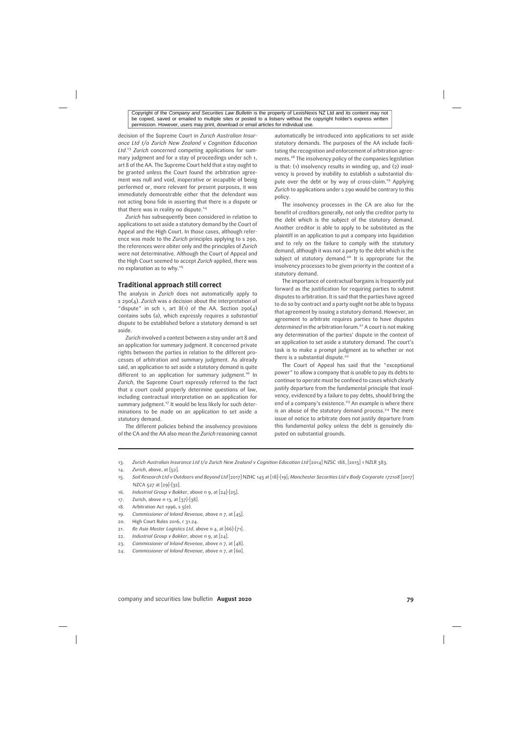decision of the Supreme Court in *Zurich Australian Insurance Ltd t/a Zurich New Zealand v Cognition Education Ltd*. <sup>13</sup> *Zurich* concerned competing applications for summary judgment and for a stay of proceedings under sch 1, art 8 of the AA. The Supreme Court held that a stay ought to be granted unless the Court found the arbitration agreement was null and void, inoperative or incapable of being performed or, more relevant for present purposes, it was immediately demonstrable either that the defendant was not acting bona fide in asserting that there is a dispute or that there was in reality no dispute.<sup>14</sup>

*Zurich* has subsequently been considered in relation to applications to set aside a statutory demand by the Court of Appeal and the High Court. In those cases, although reference was made to the *Zurich* principles applying to s 290, the references were obiter only and the principles of *Zurich* were not determinative. Although the Court of Appeal and the High Court seemed to accept *Zurich* applied, there was no explanation as to why.<sup>15</sup>

#### **Traditional approach still correct**

The analysis in *Zurich* does not automatically apply to s 290(4). *Zurich* was a decision about the interpretation of "dispute" in sch 1, art  $8(1)$  of the AA. Section 290(4) contains subs (a), which expressly requires a *substantial* dispute to be established before a statutory demand is set aside.

*Zurich* involved a contest between a stay under art 8 and an application for summary judgment. It concerned private rights between the parties in relation to the different processes of arbitration and summary judgment. As already said, an application to set aside a statutory demand is quite different to an application for summary judgment.<sup>16</sup> In *Zurich*, the Supreme Court expressly referred to the fact that a court could properly determine questions of law, including contractual interpretation on an application for summary judgment.<sup>17</sup> It would be less likely for such determinations to be made on an application to set aside a statutory demand.

The different policies behind the insolvency provisions of the CA and the AA also mean the *Zurich* reasoning cannot automatically be introduced into applications to set aside statutory demands. The purposes of the AA include facilitating the recognition and enforcement of arbitration agreements.<sup>18</sup> The insolvency policy of the companies legislation is that: (1) insolvency results in winding up, and (2) insolvency is proved by inability to establish a substantial dispute over the debt or by way of cross-claim.<sup>19</sup> Applying *Zurich* to applications under s 290 would be contrary to this policy.

The insolvency processes in the CA are also for the benefit of creditors generally, not only the creditor party to the debt which is the subject of the statutory demand. Another creditor is able to apply to be substituted as the plaintiff in an application to put a company into liquidation and to rely on the failure to comply with the statutory demand, although it was not a party to the debt which is the subject of statutory demand.<sup>20</sup> It is appropriate for the insolvency processes to be given priority in the context of a statutory demand.

The importance of contractual bargains is frequently put forward as the justification for requiring parties to submit disputes to arbitration. It is said that the parties have agreed to do so by contract and a party ought not be able to bypass that agreement by issuing a statutory demand. However, an agreement to arbitrate requires parties to have disputes determined in the arbitration forum.<sup>21</sup> A court is not making any determination of the parties' dispute in the context of an application to set aside a statutory demand. The court's task is to make a prompt judgment as to whether or not there is a substantial dispute.<sup>22</sup>

The Court of Appeal has said that the "exceptional power" to allow a company that is unable to pay its debts to continue to operate must be confined to cases which clearly justify departure from the fundamental principle that insolvency, evidenced by a failure to pay debts, should bring the end of a company's existence.<sup>23</sup> An example is where there is an abuse of the statutory demand process.<sup>24</sup> The mere issue of notice to arbitrate does not justify departure from this fundamental policy unless the debt is genuinely disputed on substantial grounds.

13. *Zurich Australian Insurance Ltd t/a Zurich New Zealand v Cognition Education Ltd* [2014] NZSC 188, [2015] 1 NZLR 383.

- 14. *Zurich*, above, at [52].
- 15. *Soil Research Ltd v Outdoors and Beyond Ltd* [2017] NZHC 145 at [18]–[19]; *Manchester Securities Ltd v Body Corporate 172108* [2017] NZCA 527 at [29]–[32].
- 16. *Industrial Group v Bakker*, above n 9, at [24]–[25].
- 17. Zurich, above n 13, at [37]–[38].
- 18. Arbitration Act 1996, s 5(e).
- 19. *Commissioner of Inland Revenue*, above n 7, at [45].
- 20. High Court Rules 2016, r 31.24.
- 21. *Re Asia Master Logistics Ltd*, above n 4, at [66]–[71].
- 22. *Industrial Group v Bakker*, above n 9, at [24].
- 23. *Commissioner of Inland Revenue*, above n 7, at [48].
- 24. *Commissioner of Inland Revenue*, above n 7, at [60].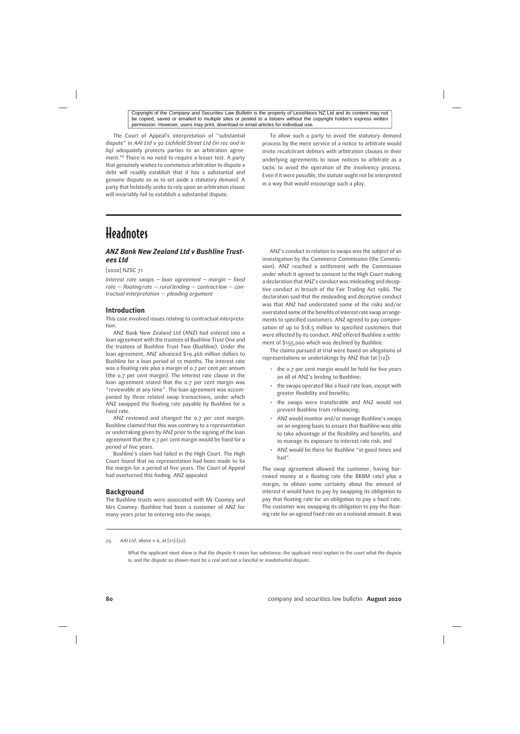The Court of Appeal's interpretation of "substantial dispute" in *AAI Ltd v 92 Lichfield Street Ltd (in rec and in liq)* adequately protects parties to an arbitration agreement.<sup>25</sup> There is no need to require a lesser test. A party that genuinely wishes to commence arbitration to dispute a debt will readily establish that it has a substantial and genuine dispute so as to set aside a statutory demand. A party that belatedly seeks to rely upon an arbitration clause will invariably fail to establish a substantial dispute.

To allow such a party to avoid the statutory demand process by the mere service of a notice to arbitrate would invite recalcitrant debtors with arbitration clauses in their underlying agreements to issue notices to arbitrate as a tactic to avoid the operation of the insolvency process. Even if it were possible, the statute ought not be interpreted in a way that would encourage such a ploy.

# **Headnotes**

# *ANZ Bank New Zealand Ltd v Bushline Trustees Ltd*

#### [2020] NZSC 71

*Interest rate swaps — loan agreement — margin — fixed rate — floating rate — rural lending — contract law — contractual interpretation — pleading argument*

#### **Introduction**

This case involved issues relating to contractual interpretation.

ANZ Bank New Zealand Ltd (ANZ) had entered into a loan agreement with the trustees of Bushline Trust One and the trustees of Bushline Trust Two (Bushline). Under the loan agreement, ANZ advanced \$19.466 million dollars to Bushline for a loan period of 12 months. The interest rate was a floating rate plus a margin of 0.7 per cent per annum (the 0.7 per cent margin). The interest rate clause in the loan agreement stated that the 0.7 per cent margin was "reviewable at any time". The loan agreement was accompanied by three related swap transactions, under which ANZ swapped the floating rate payable by Bushline for a fixed rate.

ANZ reviewed and changed the 0.7 per cent margin. Bushline claimed that this was contrary to a representation or undertaking given by ANZ prior to the signing of the loan agreement that the 0.7 per cent margin would be fixed for a period of five years.

Bushline's claim had failed in the High Court. The High Court found that no representation had been made to fix the margin for a period of five years. The Court of Appeal had overturned this finding. ANZ appealed.

#### **Background**

The Bushline trusts were associated with Mr Coomey and Mrs Coomey. Bushline had been a customer of ANZ for many years prior to entering into the swaps.

ANZ's conduct in relation to swaps was the subject of an investigation by the Commerce Commission (the Commission). ANZ reached a settlement with the Commission under which it agreed to consent to the High Court making a declaration that ANZ's conduct was misleading and deceptive conduct in breach of the Fair Trading Act 1986. The declaration said that the misleading and deceptive conduct was that ANZ had understated some of the risks and/or overstated some of the benefits of interest rate swap arrangements to specified customers. ANZ agreed to pay compensation of up to \$18.5 million to specified customers that were affected by its conduct. ANZ offered Bushline a settlement of \$155,000 which was declined by Bushline.

The claims pursued at trial were based on allegations of representations or undertakings by ANZ that (at [12]):

- the 0.7 per cent margin would be held for five years on all of ANZ's lending to Bushline;
- the swaps operated like a fixed rate loan, except with greater flexibility and benefits;
- the swaps were transferable and ANZ would not prevent Bushline from refinancing;
- ANZ would monitor and/or manage Bushline's swaps on an ongoing basis to ensure that Bushline was able to take advantage of the flexibility and benefits, and to manage its exposure to interest rate risk; and
- ANZ would be there for Bushline "in good times and bad".

The swap agreement allowed the customer, having borrowed money at a floating rate (the BKBM rate) plus a margin, to obtain some certainty about the amount of interest it would have to pay by swapping its obligation to pay that floating rate for an obligation to pay a fixed rate. The customer was swapping its obligation to pay the floating rate for an agreed fixed rate on a notional amount. It was

25. *AAI Ltd*, above n 6, at [21]–[22]:

What the applicant must show is that the dispute it raises has substance; the applicant must explain to the court what the dispute is; and the dispute so shown must be a real and not a fanciful or insubstantial dispute.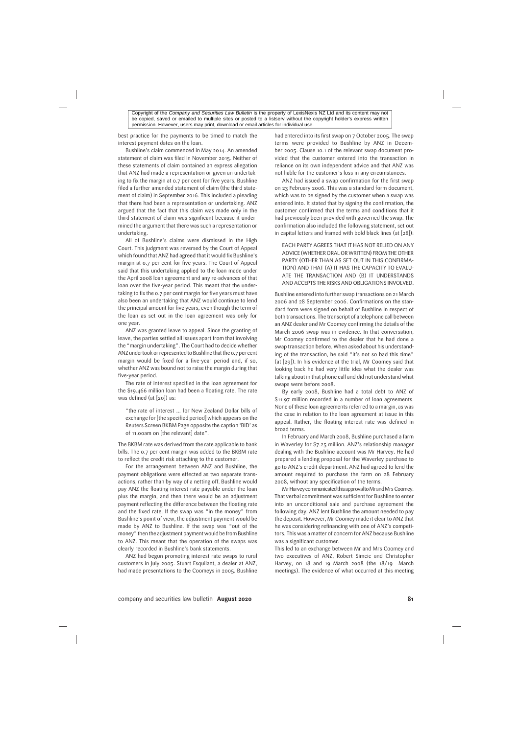best practice for the payments to be timed to match the interest payment dates on the loan.

Bushline's claim commenced in May 2014. An amended statement of claim was filed in November 2015. Neither of these statements of claim contained an express allegation that ANZ had made a representation or given an undertaking to fix the margin at 0.7 per cent for five years. Bushline filed a further amended statement of claim (the third statement of claim) in September 2016. This included a pleading that there had been a representation or undertaking. ANZ argued that the fact that this claim was made only in the third statement of claim was significant because it undermined the argument that there was such a representation or undertaking.

All of Bushline's claims were dismissed in the High Court. This judgment was reversed by the Court of Appeal which found that ANZ had agreed that it would fix Bushline's margin at 0.7 per cent for five years. The Court of Appeal said that this undertaking applied to the loan made under the April 2008 loan agreement and any re-advances of that loan over the five-year period. This meant that the undertaking to fix the 0.7 per cent margin for five years must have also been an undertaking that ANZ would continue to lend the principal amount for five years, even though the term of the loan as set out in the loan agreement was only for one year.

ANZ was granted leave to appeal. Since the granting of leave, the parties settled all issues apart from that involving the "margin undertaking". The Court had to decide whether ANZ undertook or represented to Bushline that the 0.7 per cent margin would be fixed for a five-year period and, if so, whether ANZ was bound not to raise the margin during that five-year period.

The rate of interest specified in the loan agreement for the \$19.466 million loan had been a floating rate. The rate was defined (at [20]) as:

"the rate of interest … for New Zealand Dollar bills of exchange for [the specified period] which appears on the Reuters Screen BKBM Page opposite the caption 'BID' as of 11.00am on [the relevant] date".

The BKBM rate was derived from the rate applicable to bank bills. The 0.7 per cent margin was added to the BKBM rate to reflect the credit risk attaching to the customer.

For the arrangement between ANZ and Bushline, the payment obligations were effected as two separate transactions, rather than by way of a netting off. Bushline would pay ANZ the floating interest rate payable under the loan plus the margin, and then there would be an adjustment payment reflecting the difference between the floating rate and the fixed rate. If the swap was "in the money" from Bushline's point of view, the adjustment payment would be made by ANZ to Bushline. If the swap was "out of the money" then the adjustment payment would be from Bushline to ANZ. This meant that the operation of the swaps was clearly recorded in Bushline's bank statements.

ANZ had begun promoting interest rate swaps to rural customers in July 2005. Stuart Esquilant, a dealer at ANZ, had made presentations to the Coomeys in 2005. Bushline had entered into its first swap on 7 October 2005. The swap terms were provided to Bushline by ANZ in December 2005. Clause 10.1 of the relevant swap document provided that the customer entered into the transaction in reliance on its own independent advice and that ANZ was not liable for the customer's loss in any circumstances.

ANZ had issued a swap confirmation for the first swap on 23 February 2006. This was a standard form document, which was to be signed by the customer when a swap was entered into. It stated that by signing the confirmation, the customer confirmed that the terms and conditions that it had previously been provided with governed the swap. The confirmation also included the following statement, set out in capital letters and framed with bold black lines (at  $[28]$ ):

EACH PARTY AGREES THAT IT HAS NOT RELIED ON ANY ADVICE (WHETHER ORAL ORWRITTEN) FROM THE OTHER PARTY (OTHER THAN AS SET OUT IN THIS CONFIRMA-TION) AND THAT (A) IT HAS THE CAPACITY TO EVALU-ATE THE TRANSACTION AND (B) IT UNDERSTANDS AND ACCEPTS THE RISKS AND OBLIGATIONS INVOLVED.

Bushline entered into further swap transactions on 21 March 2006 and 28 September 2006. Confirmations on the standard form were signed on behalf of Bushline in respect of both transactions. The transcript of a telephone call between an ANZ dealer and Mr Coomey confirming the details of the March 2006 swap was in evidence. In that conversation, Mr Coomey confirmed to the dealer that he had done a swap transaction before. When asked about his understanding of the transaction, he said "it's not so bad this time" (at [29]). In his evidence at the trial, Mr Coomey said that looking back he had very little idea what the dealer was talking about in that phone call and did not understand what swaps were before 2008.

By early 2008, Bushline had a total debt to ANZ of \$11.97 million recorded in a number of loan agreements. None of these loan agreements referred to a margin, as was the case in relation to the loan agreement at issue in this appeal. Rather, the floating interest rate was defined in broad terms.

In February and March 2008, Bushline purchased a farm in Waverley for \$7.25 million. ANZ's relationship manager dealing with the Bushline account was Mr Harvey. He had prepared a lending proposal for the Waverley purchase to go to ANZ's credit department. ANZ had agreed to lend the amount required to purchase the farm on 28 February 2008, without any specification of the terms.

Mr Harvey communicated this approval to Mr and Mrs Coomey. That verbal commitment was sufficient for Bushline to enter into an unconditional sale and purchase agreement the following day. ANZ lent Bushline the amount needed to pay the deposit. However, Mr Coomey made it clear to ANZ that he was considering refinancing with one of ANZ's competitors. This was a matter of concern for ANZ because Bushline was a significant customer.

This led to an exchange between Mr and Mrs Coomey and two executives of ANZ, Robert Simcic and Christopher Harvey, on 18 and 19 March 2008 (the 18/19 March meetings). The evidence of what occurred at this meeting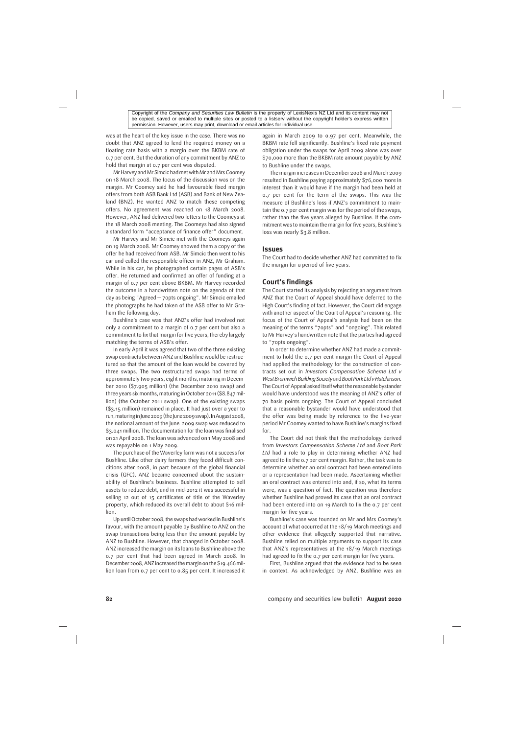was at the heart of the key issue in the case. There was no doubt that ANZ agreed to lend the required money on a floating rate basis with a margin over the BKBM rate of 0.7 per cent. But the duration of any commitment by ANZ to hold that margin at 0.7 per cent was disputed.

Mr Harvey and Mr Simcic had met with Mr and Mrs Coomey on 18 March 2008. The focus of the discussion was on the margin. Mr Coomey said he had favourable fixed margin offers from both ASB Bank Ltd (ASB) and Bank of New Zealand (BNZ). He wanted ANZ to match these competing offers. No agreement was reached on 18 March 2008. However, ANZ had delivered two letters to the Coomeys at the 18 March 2008 meeting. The Coomeys had also signed a standard form "acceptance of finance offer" document.

Mr Harvey and Mr Simcic met with the Coomeys again on 19 March 2008. Mr Coomey showed them a copy of the offer he had received from ASB. Mr Simcic then went to his car and called the responsible officer in ANZ, Mr Graham. While in his car, he photographed certain pages of ASB's offer. He returned and confirmed an offer of funding at a margin of 0.7 per cent above BKBM. Mr Harvey recorded the outcome in a handwritten note on the agenda of that day as being "Agreed — 70pts ongoing". Mr Simcic emailed the photographs he had taken of the ASB offer to Mr Graham the following day.

Bushline's case was that ANZ's offer had involved not only a commitment to a margin of 0.7 per cent but also a commitment to fix that margin for five years, thereby largely matching the terms of ASB's offer.

In early April it was agreed that two of the three existing swap contracts between ANZ and Bushline would be restructured so that the amount of the loan would be covered by three swaps. The two restructured swaps had terms of approximately two years, eight months, maturing in December 2010 (\$7.905 million) (the December 2010 swap) and three years six months, maturing in October 2011 (\$8.847 million) (the October 2011 swap). One of the existing swaps (\$3.15 million) remained in place. It had just over a year to run,maturinginJune 2009 (theJune 2009swap).InAugust 2008, the notional amount of the June 2009 swap was reduced to \$3.041 million. The documentation for the loan was finalised on 21 April 2008. The loan was advanced on 1 May 2008 and was repayable on 1 May 2009.

The purchase of the Waverley farm was not a success for Bushline. Like other dairy farmers they faced difficult conditions after 2008, in part because of the global financial crisis (GFC). ANZ became concerned about the sustainability of Bushline's business. Bushline attempted to sell assets to reduce debt, and in mid-2012 it was successful in selling 12 out of 15 certificates of title of the Waverley property, which reduced its overall debt to about \$16 million.

Up until October 2008, the swaps had worked in Bushline's favour, with the amount payable by Bushline to ANZ on the swap transactions being less than the amount payable by ANZ to Bushline. However, that changed in October 2008. ANZ increased the margin on its loans to Bushline above the 0.7 per cent that had been agreed in March 2008. In December 2008, ANZ increased themargin on the \$19.466million loan from 0.7 per cent to 0.85 per cent. It increased it again in March 2009 to 0.97 per cent. Meanwhile, the BKBM rate fell significantly. Bushline's fixed rate payment obligation under the swaps for April 2009 alone was over \$70,000 more than the BKBM rate amount payable by ANZ to Bushline under the swaps.

The margin increases in December 2008 and March 2009 resulted in Bushline paying approximately \$76,000 more in interest than it would have if the margin had been held at 0.7 per cent for the term of the swaps. This was the measure of Bushline's loss if ANZ's commitment to maintain the 0.7 per cent margin was for the period of the swaps, rather than the five years alleged by Bushline. If the commitment was to maintain the margin for five years, Bushline's loss was nearly \$3.8 million.

#### **Issues**

The Court had to decide whether ANZ had committed to fix the margin for a period of five years.

### **Court's findings**

The Court started its analysis by rejecting an argument from ANZ that the Court of Appeal should have deferred to the High Court's finding of fact. However, the Court did engage with another aspect of the Court of Appeal's reasoning. The focus of the Court of Appeal's analysis had been on the meaning of the terms "70pts" and "ongoing". This related to Mr Harvey's handwritten note that the parties had agreed to "70pts ongoing".

In order to determine whether ANZ had made a commitment to hold the 0.7 per cent margin the Court of Appeal had applied the methodology for the construction of contracts set out in *Investors Compensation Scheme Ltd v WestBromwichBuildingSociety*and*BoatParkLtd vHutchinson*. The Court of Appeal asked itself what the reasonable bystander would have understood was the meaning of ANZ's offer of 70 basis points ongoing. The Court of Appeal concluded that a reasonable bystander would have understood that the offer was being made by reference to the five-year period Mr Coomey wanted to have Bushline's margins fixed for.

The Court did not think that the methodology derived from *Investors Compensation Scheme Ltd* and *Boat Park Ltd* had a role to play in determining whether ANZ had agreed to fix the 0.7 per cent margin. Rather, the task was to determine whether an oral contract had been entered into or a representation had been made. Ascertaining whether an oral contract was entered into and, if so, what its terms were, was a question of fact. The question was therefore whether Bushline had proved its case that an oral contract had been entered into on 19 March to fix the 0.7 per cent margin for five years.

Bushline's case was founded on Mr and Mrs Coomey's account of what occurred at the 18/19 March meetings and other evidence that allegedly supported that narrative. Bushline relied on multiple arguments to support its case that ANZ's representatives at the 18/19 March meetings had agreed to fix the 0.7 per cent margin for five years.

First, Bushline argued that the evidence had to be seen in context. As acknowledged by ANZ, Bushline was an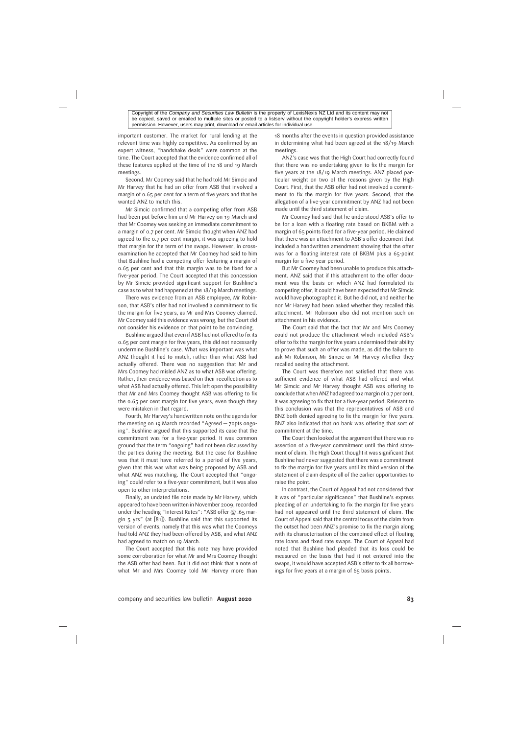important customer. The market for rural lending at the relevant time was highly competitive. As confirmed by an expert witness, "handshake deals" were common at the time. The Court accepted that the evidence confirmed all of these features applied at the time of the 18 and 19 March meetings.

Second, Mr Coomey said that he had told Mr Simcic and Mr Harvey that he had an offer from ASB that involved a margin of 0.65 per cent for a term of five years and that he wanted ANZ to match this.

Mr Simcic confirmed that a competing offer from ASB had been put before him and Mr Harvey on 19 March and that Mr Coomey was seeking an immediate commitment to a margin of 0.7 per cent. Mr Simcic thought when ANZ had agreed to the 0.7 per cent margin, it was agreeing to hold that margin for the term of the swaps. However, in crossexamination he accepted that Mr Coomey had said to him that Bushline had a competing offer featuring a margin of 0.65 per cent and that this margin was to be fixed for a five-year period. The Court accepted that this concession by Mr Simcic provided significant support for Bushline's case as to what had happened at the 18/19 March meetings.

There was evidence from an ASB employee, Mr Robinson, that ASB's offer had not involved a commitment to fix the margin for five years, as Mr and Mrs Coomey claimed. Mr Coomey said this evidence was wrong, but the Court did not consider his evidence on that point to be convincing.

Bushline argued that even if ASB had not offered to fix its 0.65 per cent margin for five years, this did not necessarily undermine Bushline's case. What was important was what ANZ thought it had to match, rather than what ASB had actually offered. There was no suggestion that Mr and Mrs Coomey had misled ANZ as to what ASB was offering. Rather, their evidence was based on their recollection as to what ASB had actually offered. This left open the possibility that Mr and Mrs Coomey thought ASB was offering to fix the 0.65 per cent margin for five years, even though they were mistaken in that regard.

Fourth, Mr Harvey's handwritten note on the agenda for the meeting on 19 March recorded "Agreed — 70pts ongoing". Bushline argued that this supported its case that the commitment was for a five-year period. It was common ground that the term "ongoing" had not been discussed by the parties during the meeting. But the case for Bushline was that it must have referred to a period of five years, given that this was what was being proposed by ASB and what ANZ was matching. The Court accepted that "ongoing" could refer to a five-year commitment, but it was also open to other interpretations.

Finally, an undated file note made by Mr Harvey, which appeared to have been written in November 2009, recorded under the heading "Interest Rates": "ASB offer @ .65 margin 5 yrs" (at [81]). Bushline said that this supported its version of events, namely that this was what the Coomeys had told ANZ they had been offered by ASB, and what ANZ had agreed to match on 19 March.

The Court accepted that this note may have provided some corroboration for what Mr and Mrs Coomey thought the ASB offer had been. But it did not think that a note of what Mr and Mrs Coomey told Mr Harvey more than 18 months after the events in question provided assistance in determining what had been agreed at the 18/19 March meetings.

ANZ's case was that the High Court had correctly found that there was no undertaking given to fix the margin for five years at the 18/19 March meetings. ANZ placed particular weight on two of the reasons given by the High Court. First, that the ASB offer had not involved a commitment to fix the margin for five years. Second, that the allegation of a five-year commitment by ANZ had not been made until the third statement of claim.

Mr Coomey had said that he understood ASB's offer to be for a loan with a floating rate based on BKBM with a margin of 65 points fixed for a five-year period. He claimed that there was an attachment to ASB's offer document that included a handwritten amendment showing that the offer was for a floating interest rate of BKBM plus a 65-point margin for a five-year period.

But Mr Coomey had been unable to produce this attachment. ANZ said that if this attachment to the offer document was the basis on which ANZ had formulated its competing offer, it could have been expected that Mr Simcic would have photographed it. But he did not, and neither he nor Mr Harvey had been asked whether they recalled this attachment. Mr Robinson also did not mention such an attachment in his evidence.

The Court said that the fact that Mr and Mrs Coomey could not produce the attachment which included ASB's offer to fix the margin for five years undermined their ability to prove that such an offer was made, as did the failure to ask Mr Robinson, Mr Simcic or Mr Harvey whether they recalled seeing the attachment.

The Court was therefore not satisfied that there was sufficient evidence of what ASB had offered and what Mr Simcic and Mr Harvey thought ASB was offering to conclude that when ANZ had agreed to amargin of 0.7 per cent, it was agreeing to fix that for a five-year period. Relevant to this conclusion was that the representatives of ASB and BNZ both denied agreeing to fix the margin for five years. BNZ also indicated that no bank was offering that sort of commitment at the time.

The Court then looked at the argument that there was no assertion of a five-year commitment until the third statement of claim. The High Court thought it was significant that Bushline had never suggested that there was a commitment to fix the margin for five years until its third version of the statement of claim despite all of the earlier opportunities to raise the point.

In contrast, the Court of Appeal had not considered that it was of "particular significance" that Bushline's express pleading of an undertaking to fix the margin for five years had not appeared until the third statement of claim. The Court of Appeal said that the central focus of the claim from the outset had been ANZ's promise to fix the margin along with its characterisation of the combined effect of floating rate loans and fixed rate swaps. The Court of Appeal had noted that Bushline had pleaded that its loss could be measured on the basis that had it not entered into the swaps, it would have accepted ASB's offer to fix all borrowings for five years at a margin of 65 basis points.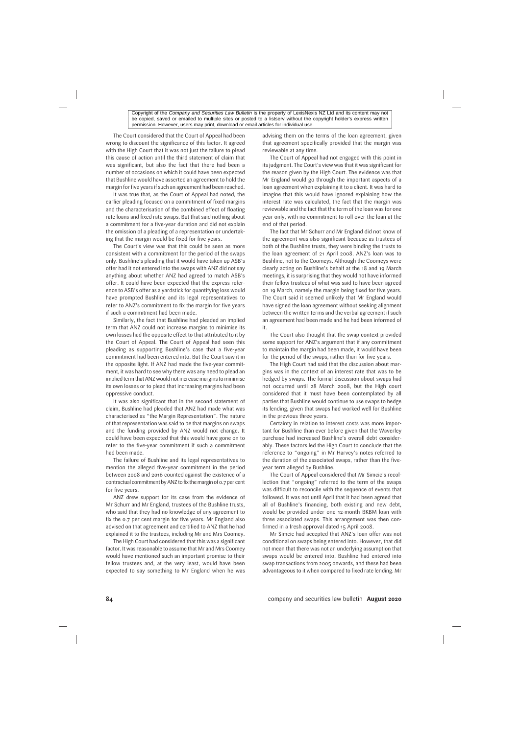The Court considered that the Court of Appeal had been wrong to discount the significance of this factor. It agreed with the High Court that it was not just the failure to plead this cause of action until the third statement of claim that was significant, but also the fact that there had been a number of occasions on which it could have been expected that Bushline would have asserted an agreement to hold the margin for five years if such an agreement had been reached.

It was true that, as the Court of Appeal had noted, the earlier pleading focused on a commitment of fixed margins and the characterisation of the combined effect of floating rate loans and fixed rate swaps. But that said nothing about a commitment for a five-year duration and did not explain the omission of a pleading of a representation or undertaking that the margin would be fixed for five years.

The Court's view was that this could be seen as more consistent with a commitment for the period of the swaps only. Bushline's pleading that it would have taken up ASB's offer had it not entered into the swaps with ANZ did not say anything about whether ANZ had agreed to match ASB's offer. It could have been expected that the express reference to ASB's offer as a yardstick for quantifying loss would have prompted Bushline and its legal representatives to refer to ANZ's commitment to fix the margin for five years if such a commitment had been made.

Similarly, the fact that Bushline had pleaded an implied term that ANZ could not increase margins to minimise its own losses had the opposite effect to that attributed to it by the Court of Appeal. The Court of Appeal had seen this pleading as supporting Bushline's case that a five-year commitment had been entered into. But the Court saw it in the opposite light. If ANZ had made the five-year commitment, it was hard to see why there was any need to plead an implied term that ANZ would not increase margins to minimise its own losses or to plead that increasing margins had been oppressive conduct.

It was also significant that in the second statement of claim, Bushline had pleaded that ANZ had made what was characterised as "the Margin Representation". The nature of that representation was said to be that margins on swaps and the funding provided by ANZ would not change. It could have been expected that this would have gone on to refer to the five-year commitment if such a commitment had been made.

The failure of Bushline and its legal representatives to mention the alleged five-year commitment in the period between 2008 and 2016 counted against the existence of a contractual commitment by ANZ to fix the margin of 0.7 per cent for five years.

ANZ drew support for its case from the evidence of Mr Schurr and Mr England, trustees of the Bushline trusts, who said that they had no knowledge of any agreement to fix the 0.7 per cent margin for five years. Mr England also advised on that agreement and certified to ANZ that he had explained it to the trustees, including Mr and Mrs Coomey.

The High Court had considered that this was a significant factor. It was reasonable to assume that Mr and Mrs Coomey would have mentioned such an important promise to their fellow trustees and, at the very least, would have been expected to say something to Mr England when he was advising them on the terms of the loan agreement, given that agreement specifically provided that the margin was reviewable at any time.

The Court of Appeal had not engaged with this point in its judgment. The Court's view was that it was significant for the reason given by the High Court. The evidence was that Mr England would go through the important aspects of a loan agreement when explaining it to a client. It was hard to imagine that this would have ignored explaining how the interest rate was calculated, the fact that the margin was reviewable and the fact that the term of the loan was for one year only, with no commitment to roll over the loan at the end of that period.

The fact that Mr Schurr and Mr England did not know of the agreement was also significant because as trustees of both of the Bushline trusts, they were binding the trusts to the loan agreement of 21 April 2008. ANZ's loan was to Bushline, not to the Coomeys. Although the Coomeys were clearly acting on Bushline's behalf at the 18 and 19 March meetings, it is surprising that they would not have informed their fellow trustees of what was said to have been agreed on 19 March, namely the margin being fixed for five years. The Court said it seemed unlikely that Mr England would have signed the loan agreement without seeking alignment between the written terms and the verbal agreement if such an agreement had been made and he had been informed of it.

The Court also thought that the swap context provided some support for ANZ's argument that if any commitment to maintain the margin had been made, it would have been for the period of the swaps, rather than for five years.

The High Court had said that the discussion about margins was in the context of an interest rate that was to be hedged by swaps. The formal discussion about swaps had not occurred until 28 March 2008, but the High court considered that it must have been contemplated by all parties that Bushline would continue to use swaps to hedge its lending, given that swaps had worked well for Bushline in the previous three years.

Certainty in relation to interest costs was more important for Bushline than ever before given that the Waverley purchase had increased Bushline's overall debt considerably. These factors led the High Court to conclude that the reference to "ongoing" in Mr Harvey's notes referred to the duration of the associated swaps, rather than the fiveyear term alleged by Bushline.

The Court of Appeal considered that Mr Simcic's recollection that "ongoing" referred to the term of the swaps was difficult to reconcile with the sequence of events that followed. It was not until April that it had been agreed that all of Bushline's financing, both existing and new debt, would be provided under one 12-month BKBM loan with three associated swaps. This arrangement was then confirmed in a fresh approval dated 15 April 2008.

Mr Simcic had accepted that ANZ's loan offer was not conditional on swaps being entered into. However, that did not mean that there was not an underlying assumption that swaps would be entered into. Bushline had entered into swap transactions from 2005 onwards, and these had been advantageous to it when compared to fixed rate lending. Mr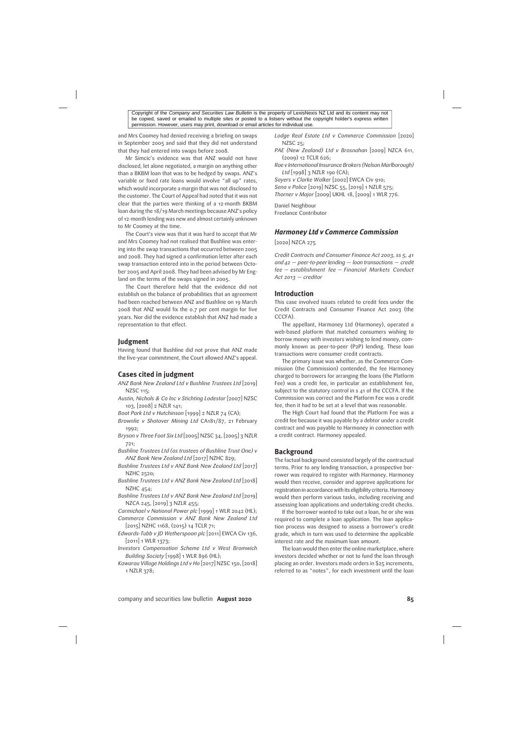and Mrs Coomey had denied receiving a briefing on swaps in September 2005 and said that they did not understand that they had entered into swaps before 2008.

Mr Simcic's evidence was that ANZ would not have disclosed, let alone negotiated, a margin on anything other than a BKBM loan that was to be hedged by swaps. ANZ's variable or fixed rate loans would involve "all up" rates, which would incorporate a margin that was not disclosed to the customer. The Court of Appeal had noted that it was not clear that the parties were thinking of a 12-month BKBM loan during the 18/19 March meetings because ANZ's policy of 12-month lending was new and almost certainly unknown to Mr Coomey at the time.

The Court's view was that it was hard to accept that Mr and Mrs Coomey had not realised that Bushline was entering into the swap transactions that occurred between 2005 and 2008. They had signed a confirmation letter after each swap transaction entered into in the period between October 2005 and April 2008. They had been advised by Mr England on the terms of the swaps signed in 2005.

The Court therefore held that the evidence did not establish on the balance of probabilities that an agreement had been reached between ANZ and Bushline on 19 March 2008 that ANZ would fix the 0.7 per cent margin for five years. Nor did the evidence establish that ANZ had made a representation to that effect.

### **Judgment**

Having found that Bushline did not prove that ANZ made the five-year commitment, the Court allowed ANZ's appeal.

# **Cases cited in judgment**

- *ANZ Bank New Zealand Ltd v Bushline Trustees Ltd* [2019] NZSC 115;
- *Austin, Nichols & Co Inc v Stichting Lodestar* [2007] NZSC 103, [2008] 2 NZLR 141;
- *Boat Park Ltd v Hutchinson* [1999] 2 NZLR 74 (CA);
- *Brownlie v Shotover Mining Ltd* CA181/87, 21 February 1992;
- *Bryson v Three Foot Six Ltd* [2005] NZSC 34, [2005] 3 NZLR 721;
- *Bushline Trustees Ltd (as trustees of Bushline Trust One) v ANZ Bank New Zealand Ltd* [2017] NZHC 829;
- *Bushline Trustees Ltd v ANZ Bank New Zealand Ltd* [2017] NZHC 2520;
- *Bushline Trustees Ltd v ANZ Bank New Zealand Ltd* [2018] NZHC 454;
- *Bushline Trustees Ltd v ANZ Bank New Zealand Ltd* [2019] NZCA 245, [2019] 3 NZLR 455;
- *Carmichael v National Power plc* [1999] 1 WLR 2042 (HL);
- *Commerce Commission v ANZ Bank New Zealand Ltd* [2015] NZHC 1168, (2015) 14 TCLR 71;
- *Edwards-Tubb v JD Wetherspoon plc* [2011] EWCA Civ 136, [2011] 1 WLR 1373;
- *Investors Compensation Scheme Ltd v West Bromwich Building Society* [1998] 1 WLR 896 (HL);
- *Kawarau Village Holdings Ltd v Ho* [2017] NZSC 150, [2018] 1 NZLR 378;
- *Lodge Real Estate Ltd v Commerce Commission* [2020] NZSC 25;
- *PAE (New Zealand) Ltd v Brosnahan* [2009] NZCA 611, (2009) 12 TCLR 626;
- *Rae v International Insurance Brokers (Nelson Marlborough) Ltd* [1998] 3 NZLR 190 (CA);

*Sayers v Clarke Walker* [2002] EWCA Civ 910; *Sena v Police* [2019] NZSC 55, [2019] 1 NZLR 575; *Thorner v Major* [2009] UKHL 18, [2009] 1 WLR 776.

Daniel Neighbour Freelance Contributor

### *Harmoney Ltd v Commerce Commission*

[2020] NZCA 275

*Credit Contracts and Consumer Finance Act 2003, ss 5, 41 and 42 — peer-to-peer lending — loan transactions — credit fee — establishment fee — Financial Markets Conduct Act 2013 — creditor*

### **Introduction**

This case involved issues related to credit fees under the Credit Contracts and Consumer Finance Act 2003 (the CCCFA).

The appellant, Harmoney Ltd (Harmoney), operated a web-based platform that matched consumers wishing to borrow money with investors wishing to lend money, commonly known as peer-to-peer (P2P) lending. These loan transactions were consumer credit contracts.

The primary issue was whether, as the Commerce Commission (the Commission) contended, the fee Harmoney charged to borrowers for arranging the loans (the Platform Fee) was a credit fee, in particular an establishment fee, subject to the statutory control in s 41 of the CCCFA. If the Commission was correct and the Platform Fee was a credit fee, then it had to be set at a level that was reasonable.

The High Court had found that the Platform Fee was a credit fee because it was payable by a debtor under a credit contract and was payable to Harmoney in connection with a credit contract. Harmoney appealed.

### **Background**

The factual background consisted largely of the contractual terms. Prior to any lending transaction, a prospective borrower was required to register with Harmoney. Harmoney would then receive, consider and approve applications for registration in accordance with its eligibility criteria. Harmoney would then perform various tasks, including receiving and assessing loan applications and undertaking credit checks.

If the borrower wanted to take out a loan, he or she was required to complete a loan application. The loan application process was designed to assess a borrower's credit grade, which in turn was used to determine the applicable interest rate and the maximum loan amount.

The loan would then enter the online marketplace, where investors decided whether or not to fund the loan through placing an order. Investors made orders in \$25 increments, referred to as "notes", for each investment until the loan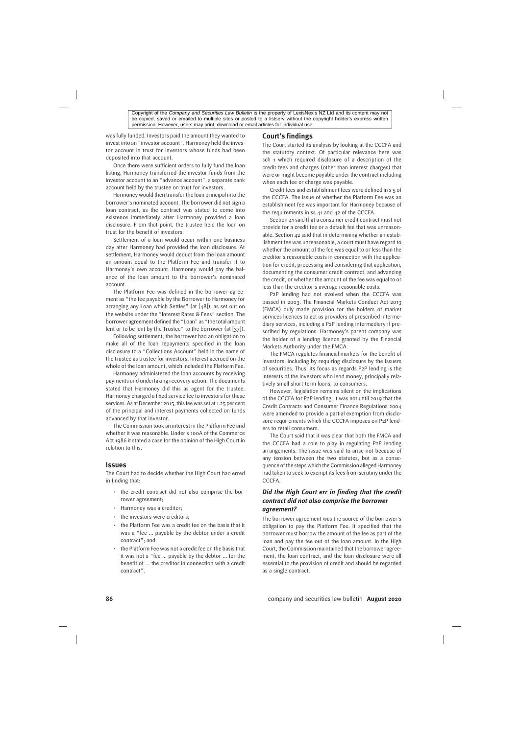was fully funded. Investors paid the amount they wanted to invest into an "investor account". Harmoney held the investor account in trust for investors whose funds had been deposited into that account.

Once there were sufficient orders to fully fund the loan listing, Harmoney transferred the investor funds from the investor account to an "advance account", a separate bank account held by the trustee on trust for investors.

Harmoney would then transfer the loan principal into the borrower's nominated account. The borrower did not sign a loan contract, as the contract was stated to come into existence immediately after Harmoney provided a loan disclosure. From that point, the trustee held the loan on trust for the benefit of investors.

Settlement of a loan would occur within one business day after Harmoney had provided the loan disclosure. At settlement, Harmoney would deduct from the loan amount an amount equal to the Platform Fee and transfer it to Harmoney's own account. Harmoney would pay the balance of the loan amount to the borrower's nominated account.

The Platform Fee was defined in the borrower agreement as "the fee payable by the Borrower to Harmoney for arranging any Loan which Settles" (at  $[48]$ ), as set out on the website under the "Interest Rates & Fees" section. The borrower agreement defined the "Loan" as "the total amount lent or to be lent by the Trustee" to the borrower (at [37]).

Following settlement, the borrower had an obligation to make all of the loan repayments specified in the loan disclosure to a "Collections Account" held in the name of the trustee as trustee for investors. Interest accrued on the whole of the loan amount, which included the Platform Fee.

Harmoney administered the loan accounts by receiving payments and undertaking recovery action. The documents stated that Harmoney did this as agent for the trustee. Harmoney charged a fixed service fee to investors for these services. As at December 2015, this fee was set at 1.25 per cent of the principal and interest payments collected on funds advanced by that investor.

The Commission took an interest in the Platform Fee and whether it was reasonable. Under s 100A of the Commerce Act 1986 it stated a case for the opinion of the High Court in relation to this.

#### **Issues**

The Court had to decide whether the High Court had erred in finding that:

- the credit contract did not also comprise the borrower agreement;
- Harmoney was a creditor;
- the investors were creditors;
- the Platform Fee was a credit fee on the basis that it was a "fee … payable by the debtor under a credit contract"; and
- the Platform Fee was not a credit fee on the basis that it was not a "fee … payable by the debtor … for the benefit of … the creditor in connection with a credit contract".

#### **Court's findings**

The Court started its analysis by looking at the CCCFA and the statutory context. Of particular relevance here was sch 1 which required disclosure of a description of the credit fees and charges (other than interest charges) that were or might become payable under the contract including when each fee or charge was payable.

Credit fees and establishment fees were defined in s 5 of the CCCFA. The issue of whether the Platform Fee was an establishment fee was important for Harmoney because of the requirements in ss 41 and 42 of the CCCFA.

Section 41 said that a consumer credit contract must not provide for a credit fee or a default fee that was unreasonable. Section 42 said that in determining whether an establishment fee was unreasonable, a court must have regard to whether the amount of the fee was equal to or less than the creditor's reasonable costs in connection with the application for credit, processing and considering that application, documenting the consumer credit contract, and advancing the credit, or whether the amount of the fee was equal to or less than the creditor's average reasonable costs.

P2P lending had not evolved when the CCCFA was passed in 2003. The Financial Markets Conduct Act 2013 (FMCA) duly made provision for the holders of market services licences to act as providers of prescribed intermediary services, including a P2P lending intermediary if prescribed by regulations. Harmoney's parent company was the holder of a lending licence granted by the Financial Markets Authority under the FMCA.

The FMCA regulates financial markets for the benefit of investors, including by requiring disclosure by the issuers of securities. Thus, its focus as regards P2P lending is the interests of the investors who lend money, principally relatively small short-term loans, to consumers.

However, legislation remains silent on the implications of the CCCFA for P2P lending. It was not until 2019 that the Credit Contracts and Consumer Finance Regulations 2004 were amended to provide a partial exemption from disclosure requirements which the CCCFA imposes on P2P lenders to retail consumers.

The Court said that it was clear that both the FMCA and the CCCFA had a role to play in regulating P2P lending arrangements. The issue was said to arise not because of any tension between the two statutes, but as a consequence of the steps which the Commission alleged Harmoney had taken to seek to exempt its fees from scrutiny under the CCCFA.

### *Did the High Court err in finding that the credit contract did not also comprise the borrower agreement?*

The borrower agreement was the source of the borrower's obligation to pay the Platform Fee. It specified that the borrower must borrow the amount of the fee as part of the loan and pay the fee out of the loan amount. In the High Court, the Commission maintained that the borrower agreement, the loan contract, and the loan disclosure were all essential to the provision of credit and should be regarded as a single contract.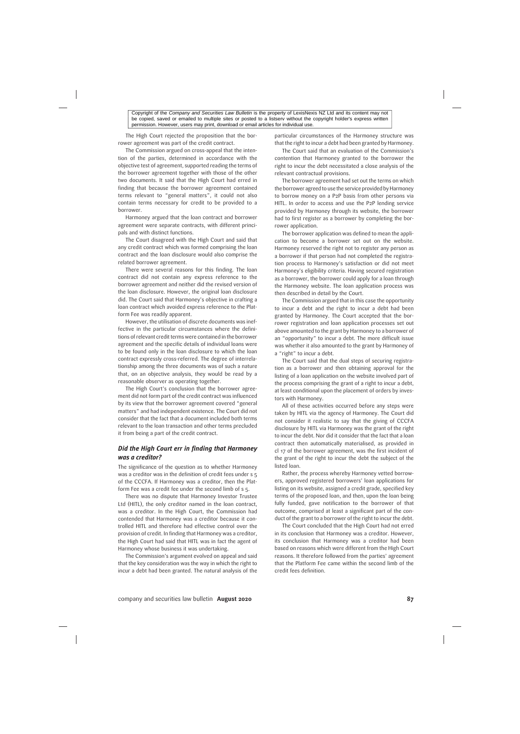The High Court rejected the proposition that the borrower agreement was part of the credit contract.

The Commission argued on cross-appeal that the intention of the parties, determined in accordance with the objective test of agreement, supported reading the terms of the borrower agreement together with those of the other two documents. It said that the High Court had erred in finding that because the borrower agreement contained terms relevant to "general matters", it could not also contain terms necessary for credit to be provided to a borrower.

Harmoney argued that the loan contract and borrower agreement were separate contracts, with different principals and with distinct functions.

The Court disagreed with the High Court and said that any credit contract which was formed comprising the loan contract and the loan disclosure would also comprise the related borrower agreement.

There were several reasons for this finding. The loan contract did not contain any express reference to the borrower agreement and neither did the revised version of the loan disclosure. However, the original loan disclosure did. The Court said that Harmoney's objective in crafting a loan contract which avoided express reference to the Platform Fee was readily apparent.

However, the utilisation of discrete documents was ineffective in the particular circumstances where the definitions of relevant credit terms were contained in the borrower agreement and the specific details of individual loans were to be found only in the loan disclosure to which the loan contract expressly cross-referred. The degree of interrelationship among the three documents was of such a nature that, on an objective analysis, they would be read by a reasonable observer as operating together.

The High Court's conclusion that the borrower agreement did not form part of the credit contract was influenced by its view that the borrower agreement covered "general matters" and had independent existence. The Court did not consider that the fact that a document included both terms relevant to the loan transaction and other terms precluded it from being a part of the credit contract.

# *Did the High Court err in finding that Harmoney was a creditor?*

The significance of the question as to whether Harmoney was a creditor was in the definition of credit fees under s 5 of the CCCFA. If Harmoney was a creditor, then the Platform Fee was a credit fee under the second limb of s 5.

There was no dispute that Harmoney Investor Trustee Ltd (HITL), the only creditor named in the loan contract, was a creditor. In the High Court, the Commission had contended that Harmoney was a creditor because it controlled HITL and therefore had effective control over the provision of credit. In finding that Harmoney was a creditor, the High Court had said that HITL was in fact the agent of Harmoney whose business it was undertaking.

The Commission's argument evolved on appeal and said that the key consideration was the way in which the right to incur a debt had been granted. The natural analysis of the particular circumstances of the Harmoney structure was that the right to incur a debt had been granted by Harmoney.

The Court said that an evaluation of the Commission's contention that Harmoney granted to the borrower the right to incur the debt necessitated a close analysis of the relevant contractual provisions.

The borrower agreement had set out the terms on which the borrower agreed to use the service provided by Harmoney to borrow money on a P2P basis from other persons via HITL. In order to access and use the P2P lending service provided by Harmoney through its website, the borrower had to first register as a borrower by completing the borrower application.

The borrower application was defined to mean the application to become a borrower set out on the website. Harmoney reserved the right not to register any person as a borrower if that person had not completed the registration process to Harmoney's satisfaction or did not meet Harmoney's eligibility criteria. Having secured registration as a borrower, the borrower could apply for a loan through the Harmoney website. The loan application process was then described in detail by the Court.

The Commission argued that in this case the opportunity to incur a debt and the right to incur a debt had been granted by Harmoney. The Court accepted that the borrower registration and loan application processes set out above amounted to the grant by Harmoney to a borrower of an "opportunity" to incur a debt. The more difficult issue was whether it also amounted to the grant by Harmoney of a "right" to incur a debt.

The Court said that the dual steps of securing registration as a borrower and then obtaining approval for the listing of a loan application on the website involved part of the process comprising the grant of a right to incur a debt, at least conditional upon the placement of orders by investors with Harmoney.

All of these activities occurred before any steps were taken by HITL via the agency of Harmoney. The Court did not consider it realistic to say that the giving of CCCFA disclosure by HITL via Harmoney was the grant of the right to incur the debt. Nor did it consider that the fact that a loan contract then automatically materialised, as provided in cl 17 of the borrower agreement, was the first incident of the grant of the right to incur the debt the subject of the listed loan.

Rather, the process whereby Harmoney vetted borrowers, approved registered borrowers' loan applications for listing on its website, assigned a credit grade, specified key terms of the proposed loan, and then, upon the loan being fully funded, gave notification to the borrower of that outcome, comprised at least a significant part of the conduct of the grant to a borrower of the right to incur the debt.

The Court concluded that the High Court had not erred in its conclusion that Harmoney was a creditor. However, its conclusion that Harmoney was a creditor had been based on reasons which were different from the High Court reasons. It therefore followed from the parties' agreement that the Platform Fee came within the second limb of the credit fees definition.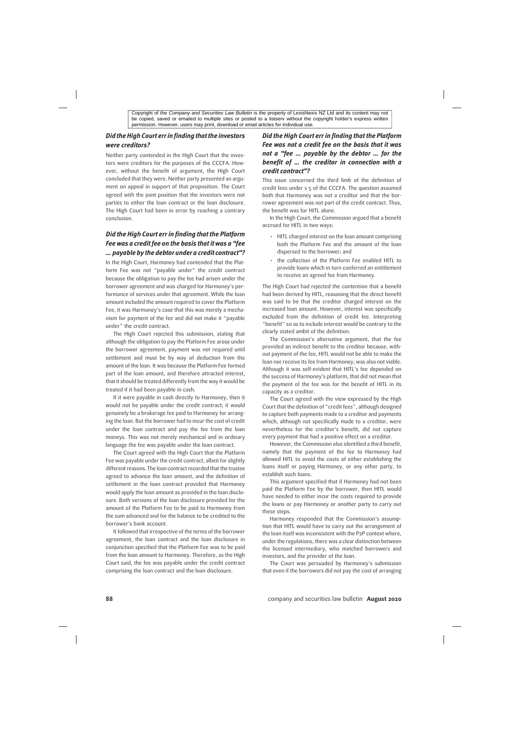### *Did the High Court err in finding that the investors were creditors?*

Neither party contended in the High Court that the investors were creditors for the purposes of the CCCFA. However, without the benefit of argument, the High Court concluded that they were. Neither party presented an argument on appeal in support of that proposition. The Court agreed with the joint position that the investors were not parties to either the loan contract or the loan disclosure. The High Court had been in error by reaching a contrary conclusion.

# *Did the High Court err in finding that the Platform Fee was a credit fee on the basis that it was a "fee … payable by the debtor under a credit contract"?*

In the High Court, Harmoney had contended that the Platform Fee was not "payable under" the credit contract because the obligation to pay the fee had arisen under the borrower agreement and was charged for Harmoney's performance of services under that agreement. While the loan amount included the amount required to cover the Platform Fee, it was Harmoney's case that this was merely a mechanism for payment of the fee and did not make it "payable under" the credit contract.

The High Court rejected this submission, stating that although the obligation to pay the Platform Fee arose under the borrower agreement, payment was not required until settlement and must be by way of deduction from the amount of the loan. It was because the Platform Fee formed part of the loan amount, and therefore attracted interest, that it should be treated differently from the way it would be treated if it had been payable in cash.

If it were payable in cash directly to Harmoney, then it would not be payable under the credit contract; it would genuinely be a brokerage fee paid to Harmoney for arranging the loan. But the borrower had to incur the cost of credit under the loan contract and pay the fee from the loan moneys. This was not merely mechanical and in ordinary language the fee was payable under the loan contract.

The Court agreed with the High Court that the Platform Fee was payable under the credit contract, albeit for slightly different reasons. The loan contract recorded that the trustee agreed to advance the loan amount, and the definition of settlement in the loan contract provided that Harmoney would apply the loan amount as provided in the loan disclosure. Both versions of the loan disclosure provided for the amount of the Platform Fee to be paid to Harmoney from the sum advanced and for the balance to be credited to the borrower's bank account.

It followed that irrespective of the terms of the borrower agreement, the loan contract and the loan disclosure in conjunction specified that the Platform Fee was to be paid from the loan amount to Harmoney. Therefore, as the High Court said, the fee was payable under the credit contract comprising the loan contract and the loan disclosure.

# *Did the High Court err in finding that the Platform Fee was not a credit fee on the basis that it was not a "fee … payable by the debtor … for the benefit of … the creditor in connection with a credit contract"?*

This issue concerned the third limb of the definition of credit fees under s 5 of the CCCFA. The question assumed both that Harmoney was not a creditor and that the borrower agreement was not part of the credit contract. Thus, the benefit was for HITL alone.

In the High Court, the Commission argued that a benefit accrued for HITL in two ways:

- HITL charged interest on the loan amount comprising both the Platform Fee and the amount of the loan dispersed to the borrower; and
- the collection of the Platform Fee enabled HITL to provide loans which in turn conferred an entitlement to receive an agreed fee from Harmoney.

The High Court had rejected the contention that a benefit had been derived by HITL, reasoning that the direct benefit was said to be that the creditor charged interest on the increased loan amount. However, interest was specifically excluded from the definition of credit fee. Interpreting "benefit" so as to include interest would be contrary to the clearly stated ambit of the definition.

The Commission's alternative argument, that the fee provided an indirect benefit to the creditor because, without payment of the fee, HITL would not be able to make the loan nor receive its fee from Harmoney, was also not viable. Although it was self-evident that HITL's fee depended on the success of Harmoney's platform, that did not mean that the payment of the fee was for the benefit of HITL in its capacity as a creditor.

The Court agreed with the view expressed by the High Court that the definition of "credit fees", although designed to capture both payments made to a creditor and payments which, although not specifically made to a creditor, were nevertheless for the creditor's benefit, did not capture every payment that had a positive effect on a creditor.

However, the Commission also identified a third benefit, namely that the payment of the fee to Harmoney had allowed HITL to avoid the costs of either establishing the loans itself or paying Harmoney, or any other party, to establish such loans.

This argument specified that if Harmoney had not been paid the Platform Fee by the borrower, then HITL would have needed to either incur the costs required to provide the loans or pay Harmoney or another party to carry out these steps.

Harmoney responded that the Commission's assumption that HITL would have to carry out the arrangement of the loan itself was inconsistent with the P2P context where, under the regulations, there was a clear distinction between the licensed intermediary, who matched borrowers and investors, and the provider of the loan.

The Court was persuaded by Harmoney's submission that even if the borrowers did not pay the cost of arranging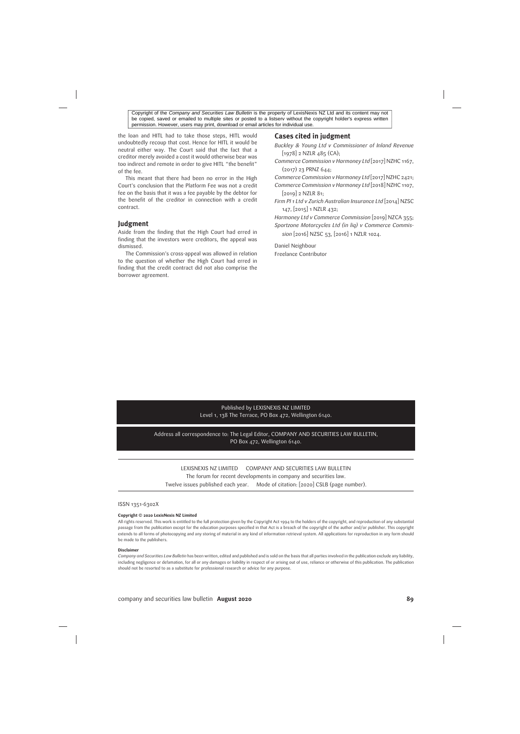the loan and HITL had to take those steps, HITL would undoubtedly recoup that cost. Hence for HITL it would be neutral either way. The Court said that the fact that a creditor merely avoided a cost it would otherwise bear was too indirect and remote in order to give HITL "the benefit" of the fee.

This meant that there had been no error in the High Court's conclusion that the Platform Fee was not a credit fee on the basis that it was a fee payable by the debtor for the benefit of the creditor in connection with a credit contract.

#### **Judgment**

Aside from the finding that the High Court had erred in finding that the investors were creditors, the appeal was dismissed.

The Commission's cross-appeal was allowed in relation to the question of whether the High Court had erred in finding that the credit contract did not also comprise the borrower agreement.

### **Cases cited in judgment**

*Buckley & Young Ltd v Commissioner of Inland Revenue* [1978] 2 NZLR 485 (CA);

*Commerce Commission v Harmoney Ltd* [2017] NZHC 1167, (2017) 23 PRNZ 644;

*Commerce Commission v Harmoney Ltd* [2017] NZHC 2421; *Commerce Commission v Harmoney Ltd* [2018] NZHC 1107, [2019] 2 NZLR 81;

*Firm PI 1 Ltd v Zurich Australian Insurance Ltd* [2014] NZSC 147, [2015] 1 NZLR 432;

*Harmoney Ltd v Commerce Commission* [2019] NZCA 355; *Sportzone Motorcycles Ltd (in liq) v Commerce Commission* [2016] NZSC 53, [2016] 1 NZLR 1024.

Daniel Neighbour Freelance Contributor

#### Published by LEXISNEXIS NZ LIMITED Level 1, 138 The Terrace, PO Box 472, Wellington 6140.

Address all correspondence to: The Legal Editor, COMPANY AND SECURITIES LAW BULLETIN, PO Box 472, Wellington 6140.

LEXISNEXIS NZ LIMITED COMPANY AND SECURITIES LAW BULLETIN

The forum for recent developments in company and securities law.

Twelve issues published each year. Mode of citation: [2020] CSLB (page number).

#### ISSN 1351-6302X

#### **Copyright © 2020 LexisNexis NZ Limited**

All rights reserved. This work is entitled to the full protection given by the Copyright Act 1994 to the holders of the copyright, and reproduction of any substantial passage from the publication except for the education purposes specified in that Act is a breach of the copyright of the author and/or publisher. This copyright extends to all forms of photocopying and any storing of material in any kind of information retrieval system. All applications for reproduction in any form should be made to the publishers.

#### **Disclaimer**

*Company and Securities Law Bulletin* has been written, edited and published and is sold on the basis that all parties involved in the publication exclude any liability, including negligence or defamation, for all or any damages or liability in respect of or arising out of use, reliance or otherwise of this publication. The publication should not be resorted to as a substitute for professional research or advice for any purpose.